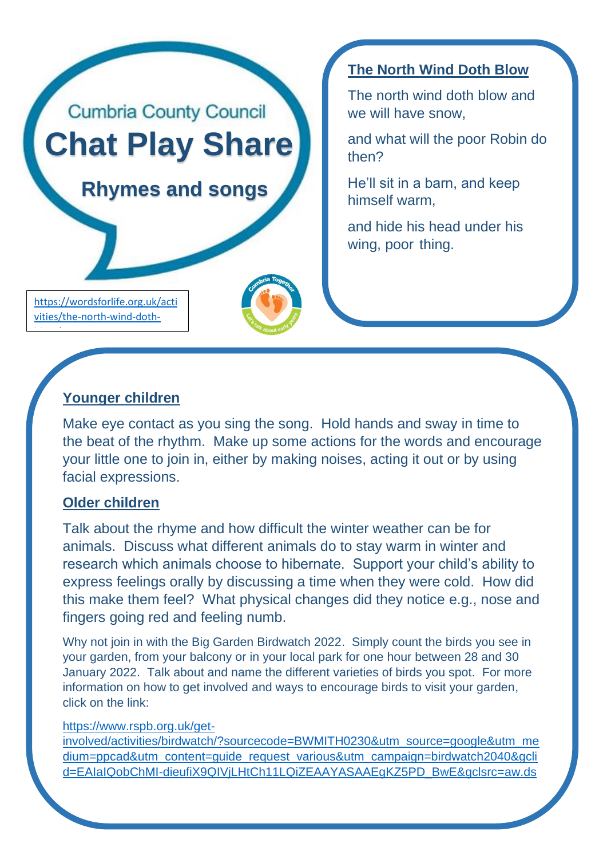

**The North Wind Doth Blow**

The north wind doth blow and we will have snow,

and what will the poor Robin do then?

He'll sit in a barn, and keep himself warm,

and hide his head under his wing, poor thing.

blow<sub>/</sub>

[vities/the-north-wind-doth-](https://wordsforlife.org.uk/activities/the-north-wind-doth-blow/)

# **Younger children**

Make eye contact as you sing the song. Hold hands and sway in time to the beat of the rhythm. Make up some actions for the words and encourage your little one to join in, either by making noises, acting it out or by using facial expressions.

### **Older children**

Talk about the rhyme and how difficult the winter weather can be for animals. Discuss what different animals do to stay warm in winter and research which animals choose to hibernate. Support your child's ability to express feelings orally by discussing a time when they were cold. How did this make them feel? What physical changes did they notice e.g., nose and fingers going red and feeling numb.

Why not join in with the Big Garden Birdwatch 2022. Simply count the birds you see in your garden, from your balcony or in your local park for one hour between 28 and 30 January 2022. Talk about and name the different varieties of birds you spot. For more information on how to get involved and ways to encourage birds to visit your garden, click on the link:

#### [https://www.rspb.org.uk/get-](https://www.rspb.org.uk/get-involved/activities/birdwatch/?sourcecode=BWMITH0230&utm_source=google&utm_medium=ppcad&utm_content=guide_request_various&utm_campaign=birdwatch2040&gclid=EAIaIQobChMI-dieufiX9QIVjLHtCh11LQiZEAAYASAAEgKZ5PD_BwE&gclsrc=aw.ds)

[involved/activities/birdwatch/?sourcecode=BWMITH0230&utm\\_source=google&utm\\_me](https://www.rspb.org.uk/get-involved/activities/birdwatch/?sourcecode=BWMITH0230&utm_source=google&utm_medium=ppcad&utm_content=guide_request_various&utm_campaign=birdwatch2040&gclid=EAIaIQobChMI-dieufiX9QIVjLHtCh11LQiZEAAYASAAEgKZ5PD_BwE&gclsrc=aw.ds) [dium=ppcad&utm\\_content=guide\\_request\\_various&utm\\_campaign=birdwatch2040&gcli](https://www.rspb.org.uk/get-involved/activities/birdwatch/?sourcecode=BWMITH0230&utm_source=google&utm_medium=ppcad&utm_content=guide_request_various&utm_campaign=birdwatch2040&gclid=EAIaIQobChMI-dieufiX9QIVjLHtCh11LQiZEAAYASAAEgKZ5PD_BwE&gclsrc=aw.ds) [d=EAIaIQobChMI-dieufiX9QIVjLHtCh11LQiZEAAYASAAEgKZ5PD\\_BwE&gclsrc=aw.ds](https://www.rspb.org.uk/get-involved/activities/birdwatch/?sourcecode=BWMITH0230&utm_source=google&utm_medium=ppcad&utm_content=guide_request_various&utm_campaign=birdwatch2040&gclid=EAIaIQobChMI-dieufiX9QIVjLHtCh11LQiZEAAYASAAEgKZ5PD_BwE&gclsrc=aw.ds)